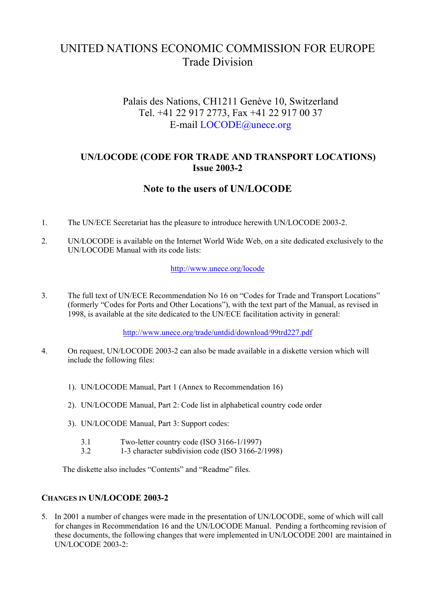# UNITED NATIONS ECONOMIC COMMISSION FOR EUROPE Trade Division

# Palais des Nations, CH1211 Genève 10, Switzerland Tel. +41 22 917 2773, Fax +41 22 917 00 37 E-mail [LOCODE@unece.org](mailto:LOCODE@unece.org)

## **UN/LOCODE (CODE FOR TRADE AND TRANSPORT LOCATIONS) Issue 2003-2**

# **Note to the users of UN/LOCODE**

- 1. The UN/ECE Secretariat has the pleasure to introduce herewith UN/LOCODE 2003-2.
- 2. UN/LOCODE is available on the Internet World Wide Web, on a site dedicated exclusively to the UN/LOCODE Manual with its code lists:

#### <http://www.unece.org/locode>

3. The full text of UN/ECE Recommendation No 16 on "Codes for Trade and Transport Locations" (formerly "Codes for Ports and Other Locations"), with the text part of the Manual, as revised in 1998, is available at the site dedicated to the UN/ECE facilitation activity in general:

<http://www.unece.org/trade/untdid/download/99trd227.pdf>

- 4. On request, UN/LOCODE 2003-2 can also be made available in a diskette version which will include the following files:
	- 1). UN/LOCODE Manual, Part 1 (Annex to Recommendation 16)
	- 2). UN/LOCODE Manual, Part 2: Code list in alphabetical country code order
	- 3). UN/LOCODE Manual, Part 3: Support codes:
		- 3.1 Two-letter country code (ISO 3166-1/1997)
		- 3.2 1-3 character subdivision code (ISO 3166-2/1998)

The diskette also includes "Contents" and "Readme" files.

#### **CHANGES IN UN/LOCODE 2003-2**

5. In 2001 a number of changes were made in the presentation of UN/LOCODE, some of which will call for changes in Recommendation 16 and the UN/LOCODE Manual. Pending a forthcoming revision of these documents, the following changes that were implemented in UN/LOCODE 2001 are maintained in UN/LOCODE 2003-2: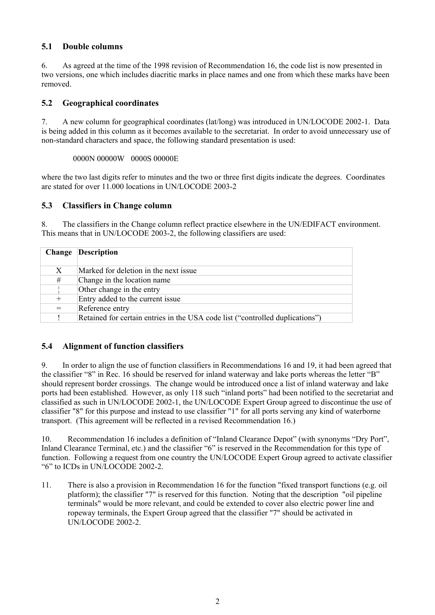### **5.1 Double columns**

6. As agreed at the time of the 1998 revision of Recommendation 16, the code list is now presented in two versions, one which includes diacritic marks in place names and one from which these marks have been removed.

#### **5.2 Geographical coordinates**

7. A new column for geographical coordinates (lat/long) was introduced in UN/LOCODE 2002-1. Data is being added in this column as it becomes available to the secretariat. In order to avoid unnecessary use of non-standard characters and space, the following standard presentation is used:

0000N 00000W 0000S 00000E

where the two last digits refer to minutes and the two or three first digits indicate the degrees. Coordinates are stated for over 11.000 locations in UN/LOCODE 2003-2

#### **5.3 Classifiers in Change column**

8. The classifiers in the Change column reflect practice elsewhere in the UN/EDIFACT environment. This means that in UN/LOCODE 2003-2, the following classifiers are used:

| Change | <b>Description</b>                                                            |
|--------|-------------------------------------------------------------------------------|
| X      | Marked for deletion in the next issue.                                        |
| #      | Change in the location name.                                                  |
|        | Other change in the entry                                                     |
| $^{+}$ | Entry added to the current issue                                              |
| $=$    | Reference entry                                                               |
|        | Retained for certain entries in the USA code list ("controlled duplications") |

#### **5.4 Alignment of function classifiers**

9. In order to align the use of function classifiers in Recommendations 16 and 19, it had been agreed that the classifier "8" in Rec. 16 should be reserved for inland waterway and lake ports whereas the letter "B" should represent border crossings. The change would be introduced once a list of inland waterway and lake ports had been established. However, as only 118 such "inland ports" had been notified to the secretariat and classified as such in UN/LOCODE 2002-1, the UN/LOCODE Expert Group agreed to discontinue the use of classifier "8" for this purpose and instead to use classifier "1" for all ports serving any kind of waterborne transport. (This agreement will be reflected in a revised Recommendation 16.)

10. Recommendation 16 includes a definition of "Inland Clearance Depot" (with synonyms "Dry Port", Inland Clearance Terminal, etc.) and the classifier "6" is reserved in the Recommendation for this type of function. Following a request from one country the UN/LOCODE Expert Group agreed to activate classifier "6" to ICDs in UN/LOCODE 2002-2.

11. There is also a provision in Recommendation 16 for the function "fixed transport functions (e.g. oil platform); the classifier "7" is reserved for this function. Noting that the description "oil pipeline terminals" would be more relevant, and could be extended to cover also electric power line and ropeway terminals, the Expert Group agreed that the classifier "7" should be activated in UN/LOCODE 2002-2.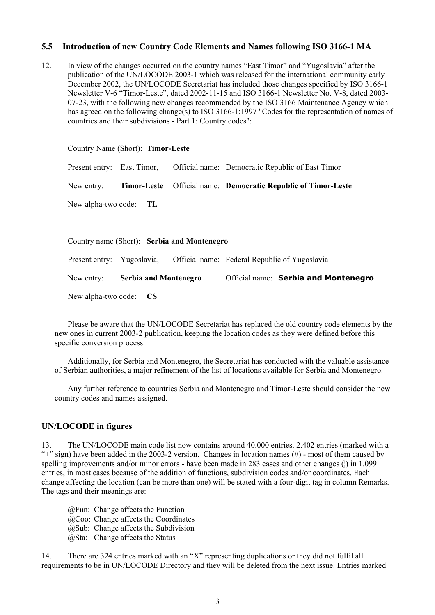#### **5.5 Introduction of new Country Code Elements and Names following ISO 3166-1 MA**

12. In view of the changes occurred on the country names "East Timor" and "Yugoslavia" after the publication of the UN/LOCODE 2003-1 which was released for the international community early December 2002, the UN/LOCODE Secretariat has included those changes specified by ISO 3166-1 Newsletter V-6 "Timor-Leste", dated 2002-11-15 and ISO 3166-1 Newsletter No. V-8, dated 2003- 07-23, with the following new changes recommended by the ISO 3166 Maintenance Agency which has agreed on the following change(s) to ISO 3166-1:1997 "Codes for the representation of names of countries and their subdivisions - Part 1: Country codes":

|                            | Country Name (Short): Timor-Leste |                                             |                                                          |
|----------------------------|-----------------------------------|---------------------------------------------|----------------------------------------------------------|
| Present entry: East Timor, |                                   |                                             | Official name: Democratic Republic of East Timor         |
| New entry:                 | <b>Timor-Leste</b>                |                                             | <b>Official name:</b> Democratic Republic of Timor-Leste |
| New alpha-two code: TL     |                                   |                                             |                                                          |
|                            |                                   |                                             |                                                          |
|                            |                                   | Country name (Short): Serbia and Montenegro |                                                          |
| Present entry:             | Yugoslavia,                       |                                             | Official name: Federal Republic of Yugoslavia            |
| New entry:                 | <b>Serbia and Montenegro</b>      |                                             | Official name: Serbia and Montenegro                     |

New alpha-two code: **CS**

Please be aware that the UN/LOCODE Secretariat has replaced the old country code elements by the new ones in current 2003-2 publication, keeping the location codes as they were defined before this specific conversion process.

Additionally, for Serbia and Montenegro, the Secretariat has conducted with the valuable assistance of Serbian authorities, a major refinement of the list of locations available for Serbia and Montenegro.

Any further reference to countries Serbia and Montenegro and Timor-Leste should consider the new country codes and names assigned.

#### **UN/LOCODE in figures**

13. The UN/LOCODE main code list now contains around 40.000 entries. 2.402 entries (marked with a "+" sign) have been added in the 2003-2 version. Changes in location names  $(\#)$  - most of them caused by spelling improvements and/or minor errors - have been made in 283 cases and other changes ( $\vert$ ) in 1.099 entries, in most cases because of the addition of functions, subdivision codes and/or coordinates. Each change affecting the location (can be more than one) will be stated with a four-digit tag in column Remarks. The tags and their meanings are:

@Fun: Change affects the Function @Coo: Change affects the Coordinates @Sub: Change affects the Subdivision @Sta: Change affects the Status

14. There are 324 entries marked with an "X" representing duplications or they did not fulfil all requirements to be in UN/LOCODE Directory and they will be deleted from the next issue. Entries marked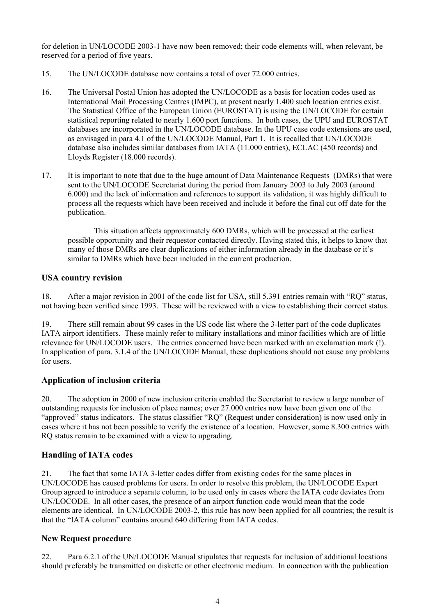for deletion in UN/LOCODE 2003-1 have now been removed; their code elements will, when relevant, be reserved for a period of five years.

- 15. The UN/LOCODE database now contains a total of over 72.000 entries.
- 16. The Universal Postal Union has adopted the UN/LOCODE as a basis for location codes used as International Mail Processing Centres (IMPC), at present nearly 1.400 such location entries exist. The Statistical Office of the European Union (EUROSTAT) is using the UN/LOCODE for certain statistical reporting related to nearly 1.600 port functions. In both cases, the UPU and EUROSTAT databases are incorporated in the UN/LOCODE database. In the UPU case code extensions are used, as envisaged in para 4.1 of the UN/LOCODE Manual, Part 1. It is recalled that UN/LOCODE database also includes similar databases from IATA (11.000 entries), ECLAC (450 records) and Lloyds Register (18.000 records).
- 17. It is important to note that due to the huge amount of Data Maintenance Requests (DMRs) that were sent to the UN/LOCODE Secretariat during the period from January 2003 to July 2003 (around 6.000) and the lack of information and references to support its validation, it was highly difficult to process all the requests which have been received and include it before the final cut off date for the publication.

This situation affects approximately 600 DMRs, which will be processed at the earliest possible opportunity and their requestor contacted directly. Having stated this, it helps to know that many of those DMRs are clear duplications of either information already in the database or it's similar to DMRs which have been included in the current production.

## **USA country revision**

18. After a major revision in 2001 of the code list for USA, still 5.391 entries remain with "RQ" status, not having been verified since 1993. These will be reviewed with a view to establishing their correct status.

19. There still remain about 99 cases in the US code list where the 3-letter part of the code duplicates IATA airport identifiers. These mainly refer to military installations and minor facilities which are of little relevance for UN/LOCODE users. The entries concerned have been marked with an exclamation mark (!). In application of para. 3.1.4 of the UN/LOCODE Manual, these duplications should not cause any problems for users.

## **Application of inclusion criteria**

20. The adoption in 2000 of new inclusion criteria enabled the Secretariat to review a large number of outstanding requests for inclusion of place names; over 27.000 entries now have been given one of the "approved" status indicators. The status classifier "RQ" (Request under consideration) is now used only in cases where it has not been possible to verify the existence of a location. However, some 8.300 entries with RQ status remain to be examined with a view to upgrading.

## **Handling of IATA codes**

21. The fact that some IATA 3-letter codes differ from existing codes for the same places in UN/LOCODE has caused problems for users. In order to resolve this problem, the UN/LOCODE Expert Group agreed to introduce a separate column, to be used only in cases where the IATA code deviates from UN/LOCODE. In all other cases, the presence of an airport function code would mean that the code elements are identical. In UN/LOCODE 2003-2, this rule has now been applied for all countries; the result is that the "IATA column" contains around 640 differing from IATA codes.

#### **New Request procedure**

22. Para 6.2.1 of the UN/LOCODE Manual stipulates that requests for inclusion of additional locations should preferably be transmitted on diskette or other electronic medium. In connection with the publication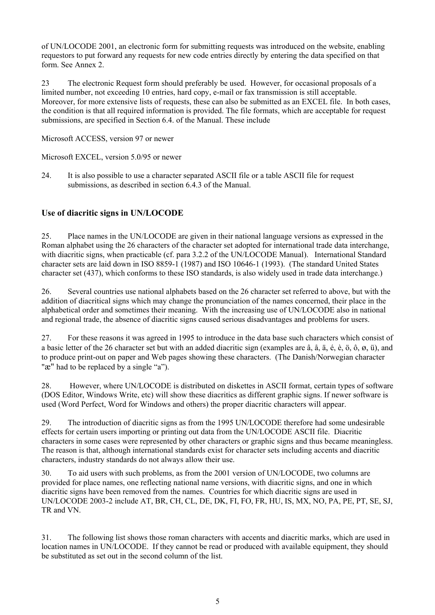of UN/LOCODE 2001, an electronic form for submitting requests was introduced on the website, enabling requestors to put forward any requests for new code entries directly by entering the data specified on that form. See Annex 2.

23 The electronic Request form should preferably be used. However, for occasional proposals of a limited number, not exceeding 10 entries, hard copy, e-mail or fax transmission is still acceptable. Moreover, for more extensive lists of requests, these can also be submitted as an EXCEL file. In both cases, the condition is that all required information is provided. The file formats, which are acceptable for request submissions, are specified in Section 6.4. of the Manual. These include

Microsoft ACCESS, version 97 or newer

Microsoft EXCEL, version 5.0/95 or newer

24. It is also possible to use a character separated ASCII file or a table ASCII file for request submissions, as described in section 6.4.3 of the Manual.

# **Use of diacritic signs in UN/LOCODE**

25. Place names in the UN/LOCODE are given in their national language versions as expressed in the Roman alphabet using the 26 characters of the character set adopted for international trade data interchange, with diacritic signs, when practicable (cf. para 3.2.2 of the UN/LOCODE Manual). International Standard character sets are laid down in ISO 8859-1 (1987) and ISO 10646-1 (1993). (The standard United States character set (437), which conforms to these ISO standards, is also widely used in trade data interchange.)

26. Several countries use national alphabets based on the 26 character set referred to above, but with the addition of diacritical signs which may change the pronunciation of the names concerned, their place in the alphabetical order and sometimes their meaning. With the increasing use of UN/LOCODE also in national and regional trade, the absence of diacritic signs caused serious disadvantages and problems for users.

27. For these reasons it was agreed in 1995 to introduce in the data base such characters which consist of a basic letter of the 26 character set but with an added diacritic sign (examples are â, å, ä, é, è, ö, ô, ø, ü), and to produce print-out on paper and Web pages showing these characters. (The Danish/Norwegian character "æ" had to be replaced by a single "a").

28. However, where UN/LOCODE is distributed on diskettes in ASCII format, certain types of software (DOS Editor, Windows Write, etc) will show these diacritics as different graphic signs. If newer software is used (Word Perfect, Word for Windows and others) the proper diacritic characters will appear.

29. The introduction of diacritic signs as from the 1995 UN/LOCODE therefore had some undesirable effects for certain users importing or printing out data from the UN/LOCODE ASCII file. Diacritic characters in some cases were represented by other characters or graphic signs and thus became meaningless. The reason is that, although international standards exist for character sets including accents and diacritic characters, industry standards do not always allow their use.

30. To aid users with such problems, as from the 2001 version of UN/LOCODE, two columns are provided for place names, one reflecting national name versions, with diacritic signs, and one in which diacritic signs have been removed from the names. Countries for which diacritic signs are used in UN/LOCODE 2003-2 include AT, BR, CH, CL, DE, DK, FI, FO, FR, HU, IS, MX, NO, PA, PE, PT, SE, SJ, TR and VN.

31. The following list shows those roman characters with accents and diacritic marks, which are used in location names in UN/LOCODE. If they cannot be read or produced with available equipment, they should be substituted as set out in the second column of the list.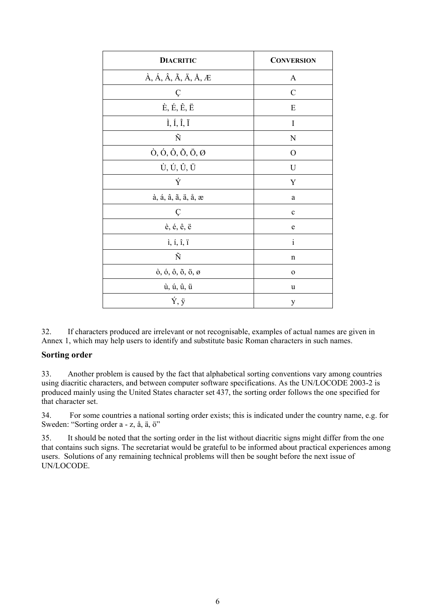| <b>DIACRITIC</b>                                                                        | <b>CONVERSION</b> |
|-----------------------------------------------------------------------------------------|-------------------|
| $\dot{A}$ , $\dot{A}$ , $\hat{A}$ , $\ddot{A}$ , $\ddot{A}$ , $\ddot{A}$ , $\ddot{A}$ . | $\mathbf{A}$      |
| Ç                                                                                       | $\mathcal{C}$     |
| $\dot{E}, \dot{E}, \hat{E}, \ddot{E}$                                                   | E                 |
| $\dot{I}$ , Í, Í, Ï                                                                     | I                 |
| Ñ                                                                                       | N                 |
| $\dot{O}$ , $\dot{O}$ , $\dot{O}$ , $\ddot{O}$ , $\ddot{O}$ , $\varnothing$             | О                 |
| Ù, Ú, Û, Ü                                                                              | U                 |
| Ý                                                                                       | Y                 |
| à, á, â, ã, ä, å, æ                                                                     | a                 |
| Ç                                                                                       | $\mathbf c$       |
| è, é, ê, ë                                                                              | e                 |
| $i, i, \hat{i}, \hat{i}$                                                                | $\mathbf{i}$      |
| Ñ                                                                                       | n                 |
| $\dot{o}$ , $\dot{o}$ , $\dot{o}$ , $\ddot{o}$ , $\ddot{o}$ , $\theta$                  | $\mathbf{o}$      |
| ù, ú, û, ü                                                                              | u                 |
| Ý, ÿ                                                                                    | y                 |

32. If characters produced are irrelevant or not recognisable, examples of actual names are given in Annex 1, which may help users to identify and substitute basic Roman characters in such names.

#### **Sorting order**

33. Another problem is caused by the fact that alphabetical sorting conventions vary among countries using diacritic characters, and between computer software specifications. As the UN/LOCODE 2003-2 is produced mainly using the United States character set 437, the sorting order follows the one specified for that character set.

34. For some countries a national sorting order exists; this is indicated under the country name, e.g. for Sweden: "Sorting order a - z, å, ä, ö"

35. It should be noted that the sorting order in the list without diacritic signs might differ from the one that contains such signs. The secretariat would be grateful to be informed about practical experiences among users. Solutions of any remaining technical problems will then be sought before the next issue of UN/LOCODE.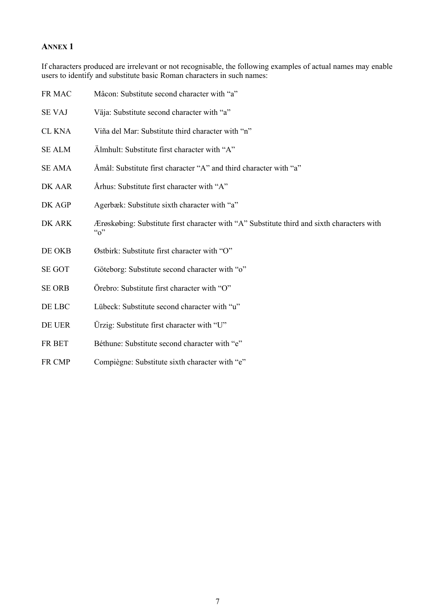### **ANNEX 1**

If characters produced are irrelevant or not recognisable, the following examples of actual names may enable users to identify and substitute basic Roman characters in such names:

| FR MAC        | Mâcon: Substitute second character with "a"                                                                    |
|---------------|----------------------------------------------------------------------------------------------------------------|
| <b>SE VAJ</b> | Väja: Substitute second character with "a"                                                                     |
| <b>CL KNA</b> | Viña del Mar: Substitute third character with "n"                                                              |
| <b>SE ALM</b> | Älmhult: Substitute first character with "A"                                                                   |
| <b>SE AMA</b> | Åmål: Substitute first character "A" and third character with "a"                                              |
| DK AAR        | Århus: Substitute first character with "A"                                                                     |
| DK AGP        | Agerbæk: Substitute sixth character with "a"                                                                   |
| DK ARK        | Ærøskøbing: Substitute first character with "A" Substitute third and sixth characters with<br>$\mathfrak{a}_0$ |
| DE OKB        | Østbirk: Substitute first character with "O"                                                                   |
| <b>SE GOT</b> | Göteborg: Substitute second character with "o"                                                                 |
| <b>SE ORB</b> | Örebro: Substitute first character with "O"                                                                    |
| DE LBC        | Lübeck: Substitute second character with "u"                                                                   |
| DE UER        | Ürzig: Substitute first character with "U"                                                                     |
| FR BET        | Béthune: Substitute second character with "e"                                                                  |
| FR CMP        | Compiègne: Substitute sixth character with "e"                                                                 |